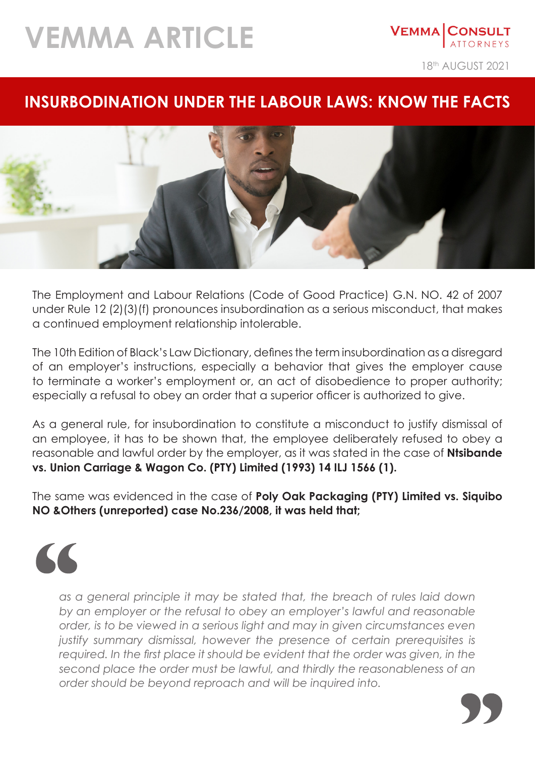## **VEMMA ARTICLE**

18<sup>th</sup> AUGUST 2021

**VEMMA CONSULT** 

## **INSURBODINATION UNDER THE LABOUR LAWS: KNOW THE FACTS**



The Employment and Labour Relations (Code of Good Practice) G.N. NO. 42 of 2007 under Rule 12 (2)(3)(f) pronounces insubordination as a serious misconduct, that makes a continued employment relationship intolerable.

The 10th Edition of Black's Law Dictionary, defines the term insubordination as a disregard of an employer's instructions, especially a behavior that gives the employer cause to terminate a worker's employment or, an act of disobedience to proper authority; especially a refusal to obey an order that a superior officer is authorized to give.

As a general rule, for insubordination to constitute a misconduct to justify dismissal of an employee, it has to be shown that, the employee deliberately refused to obey a reasonable and lawful order by the employer, as it was stated in the case of **Ntsibande vs. Union Carriage & Wagon Co. (PTY) Limited (1993) 14 ILJ 1566 (1).**

The same was evidenced in the case of **Poly Oak Packaging (PTY) Limited vs. Siquibo NO &Others (unreported) case No.236/2008, it was held that;**



*as a general principle it may be stated that, the breach of rules laid down by an employer or the refusal to obey an employer's lawful and reasonable order, is to be viewed in a serious light and may in given circumstances even*  justify summary dismissal, however the presence of certain prerequisites is required. In the first place it should be evident that the order was given, in the *second place the order must be lawful, and thirdly the reasonableness of an order should be beyond reproach and will be inquired into.*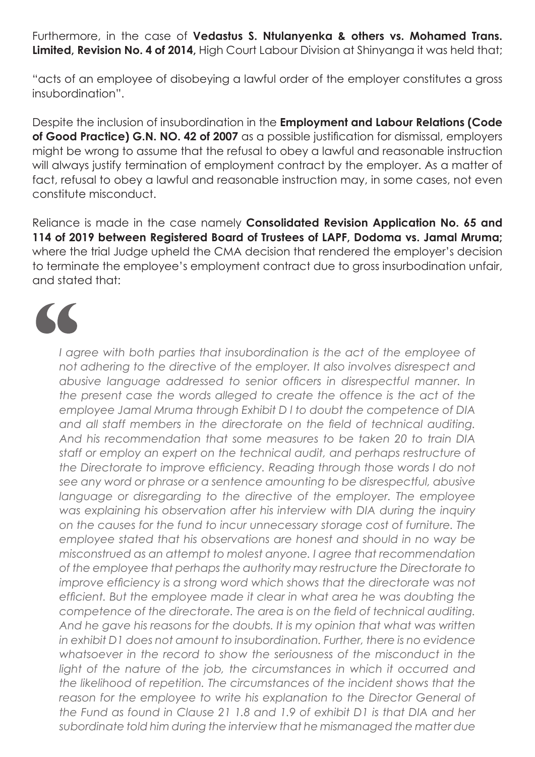Furthermore, in the case of **Vedastus S. Ntulanyenka & others vs. Mohamed Trans. Limited, Revision No. 4 of 2014,** High Court Labour Division at Shinyanga it was held that;

"acts of an employee of disobeying a lawful order of the employer constitutes a gross insubordination".

Despite the inclusion of insubordination in the **Employment and Labour Relations (Code of Good Practice) G.N. NO. 42 of 2007** as a possible justification for dismissal, employers might be wrong to assume that the refusal to obey a lawful and reasonable instruction will always justify termination of employment contract by the employer. As a matter of fact, refusal to obey a lawful and reasonable instruction may, in some cases, not even constitute misconduct.

Reliance is made in the case namely **Consolidated Revision Application No. 65 and 114 of 2019 between Registered Board of Trustees of LAPF, Dodoma vs. Jamal Mruma;** where the trial Judge upheld the CMA decision that rendered the employer's decision to terminate the employee's employment contract due to gross insurbodination unfair, and stated that:

I agree with both parties that insubordination is the act of the employee of *not adhering to the directive of the employer. It also involves disrespect and abusive language addressed to senior officers in disrespectful manner. In the present case the words alleged to create the offence is the act of the employee Jamal Mruma through Exhibit D l to doubt the competence of DIA and all staff members in the directorate on the field of technical auditing. And his recommendation that some measures to be taken 20 to train DIA staff or employ an expert on the technical audit, and perhaps restructure of the Directorate to improve efficiency. Reading through those words I do not see any word or phrase or a sentence amounting to be disrespectful, abusive language or disregarding to the directive of the employer. The employee was explaining his observation after his interview with DIA during the inquiry on the causes for the fund to incur unnecessary storage cost of furniture. The employee stated that his observations are honest and should in no way be misconstrued as an attempt to molest anyone. I agree that recommendation of the employee that perhaps the authority may restructure the Directorate to improve efficiency is a strong word which shows that the directorate was not efficient. But the employee made it clear in what area he was doubting the competence of the directorate. The area is on the field of technical auditing.*  And he gave his reasons for the doubts. It is my opinion that what was written *in exhibit D1 does not amount to insubordination. Further, there is no evidence*  whatsoever in the record to show the seriousness of the misconduct in the light of the nature of the job, the circumstances in which it occurred and *the likelihood of repetition. The circumstances of the incident shows that the*  reason for the employee to write his explanation to the Director General of *the Fund as found in Clause 21 1.8 and 1.9 of exhibit D1 is that DIA and her subordinate told him during the interview that he mismanaged the matter due*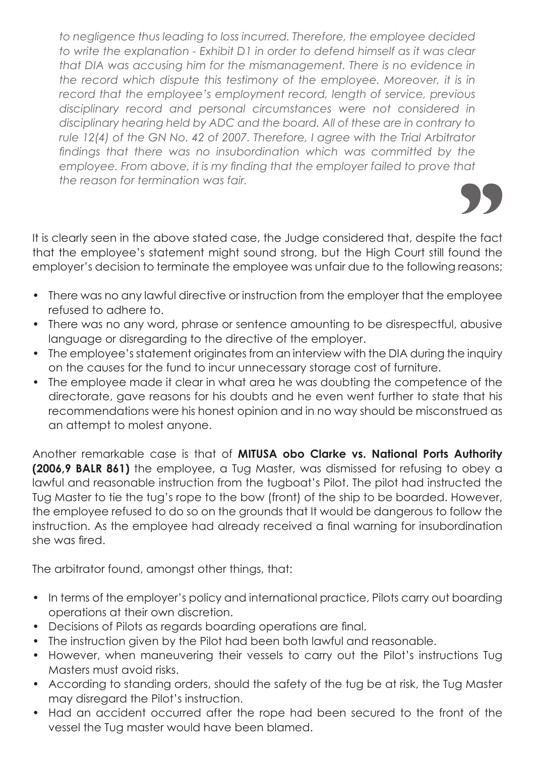*to negligence thus leading to loss incurred. Therefore, the employee decided to write the explanation - Exhibit D1 in order to defend himself as it was clear that DIA was accusing him for the mismanagement. There is no evidence in the record which dispute this testimony of the employee. Moreover, it is in record that the employee's employment record, length of service, previous disciplinary record and personal circumstances were not considered in disciplinary hearing held by ADC and the board. All of these are in contrary to*  rule 12(4) of the GN No. 42 of 2007. Therefore, I agree with the Trial Arbitrator *findings that there was no insubordination which was committed by the*  employee. From above, it is my finding that the employer failed to prove that *the reason for termination was fair.*

It is clearly seen in the above stated case, the Judge considered that, despite the fact that the employee's statement might sound strong, but the High Court still found the employer's decision to terminate the employee was unfair due to the following reasons;

- There was no any lawful directive or instruction from the employer that the employee refused to adhere to.
- There was no any word, phrase or sentence amounting to be disrespectful, abusive language or disregarding to the directive of the employer.
- The employee's statement originates from an interview with the DIA during the inquiry on the causes for the fund to incur unnecessary storage cost of furniture.
- The employee made it clear in what area he was doubting the competence of the directorate, gave reasons for his doubts and he even went further to state that his recommendations were his honest opinion and in no way should be misconstrued as an attempt to molest anyone.

Another remarkable case is that of **MITUSA obo Clarke vs. National Ports Authority (2006,9 BALR 861)** the employee, a Tug Master, was dismissed for refusing to obey a lawful and reasonable instruction from the tugboat's Pilot. The pilot had instructed the Tug Master to tie the tug's rope to the bow (front) of the ship to be boarded. However, the employee refused to do so on the grounds that It would be dangerous to follow the instruction. As the employee had already received a final warning for insubordination she was fired.

The arbitrator found, amongst other things, that:

- In terms of the employer's policy and international practice, Pilots carry out boarding operations at their own discretion.
- Decisions of Pilots as regards boarding operations are final.
- The instruction given by the Pilot had been both lawful and reasonable.
- However, when maneuvering their vessels to carry out the Pilot's instructions Tug Masters must avoid risks.
- According to standing orders, should the safety of the tug be at risk, the Tug Master may disregard the Pilot's instruction.
- Had an accident occurred after the rope had been secured to the front of the vessel the Tug master would have been blamed.